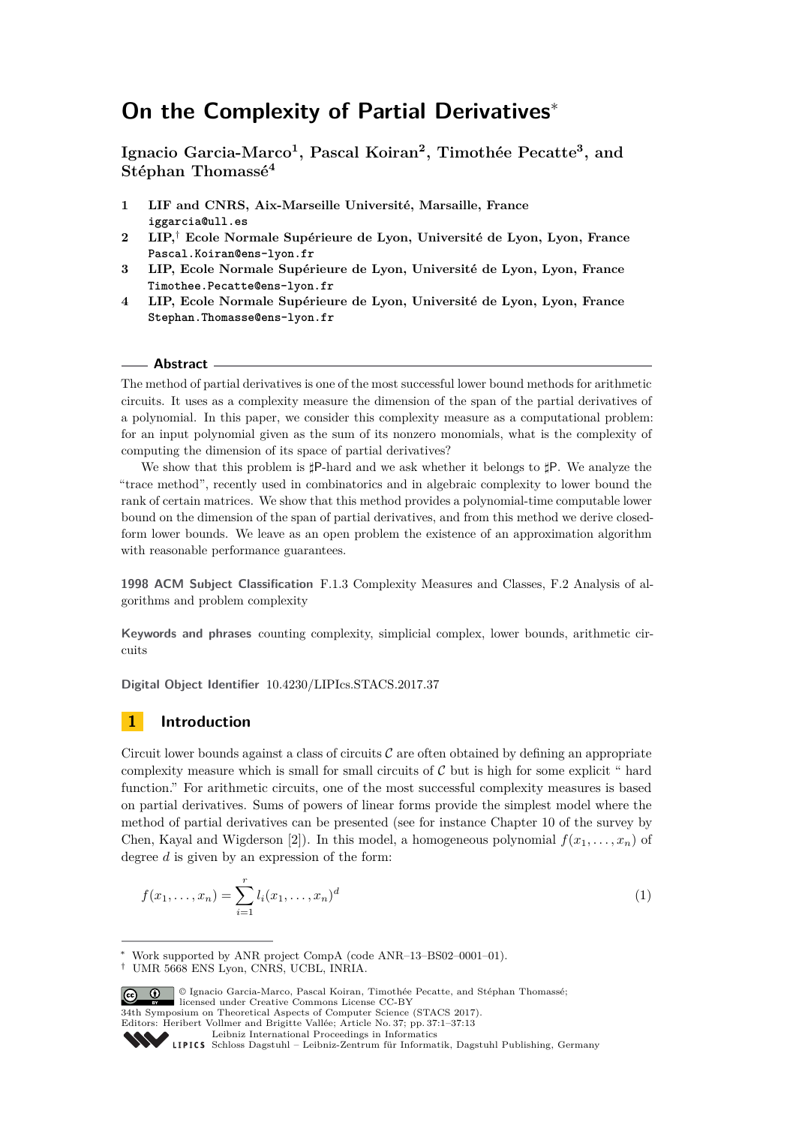# **On the Complexity of Partial Derivatives**<sup>∗</sup>

**Ignacio Garcia-Marco<sup>1</sup> , Pascal Koiran<sup>2</sup> , Timothée Pecatte<sup>3</sup> , and Stéphan Thomassé<sup>4</sup>**

- **1 LIF and CNRS, Aix-Marseille Université, Marsaille, France iggarcia@ull.es**
- **2 LIP,**† **Ecole Normale Supérieure de Lyon, Université de Lyon, Lyon, France Pascal.Koiran@ens-lyon.fr**
- **3 LIP, Ecole Normale Supérieure de Lyon, Université de Lyon, Lyon, France Timothee.Pecatte@ens-lyon.fr**
- **4 LIP, Ecole Normale Supérieure de Lyon, Université de Lyon, Lyon, France Stephan.Thomasse@ens-lyon.fr**

#### **Abstract**

The method of partial derivatives is one of the most successful lower bound methods for arithmetic circuits. It uses as a complexity measure the dimension of the span of the partial derivatives of a polynomial. In this paper, we consider this complexity measure as a computational problem: for an input polynomial given as the sum of its nonzero monomials, what is the complexity of computing the dimension of its space of partial derivatives?

We show that this problem is  $\sharp P$ -hard and we ask whether it belongs to  $\sharp P$ . We analyze the "trace method", recently used in combinatorics and in algebraic complexity to lower bound the rank of certain matrices. We show that this method provides a polynomial-time computable lower bound on the dimension of the span of partial derivatives, and from this method we derive closedform lower bounds. We leave as an open problem the existence of an approximation algorithm with reasonable performance guarantees.

**1998 ACM Subject Classification** F.1.3 Complexity Measures and Classes, F.2 Analysis of algorithms and problem complexity

**Keywords and phrases** counting complexity, simplicial complex, lower bounds, arithmetic circuits

**Digital Object Identifier** [10.4230/LIPIcs.STACS.2017.37](http://dx.doi.org/10.4230/LIPIcs.STACS.2017.37)

# **1 Introduction**

Circuit lower bounds against a class of circuits  $\mathcal C$  are often obtained by defining an appropriate complexity measure which is small for small circuits of  $C$  but is high for some explicit " hard function." For arithmetic circuits, one of the most successful complexity measures is based on partial derivatives. Sums of powers of linear forms provide the simplest model where the method of partial derivatives can be presented (see for instance Chapter 10 of the survey by Chen, Kayal and Wigderson [\[2\]](#page-12-0)). In this model, a homogeneous polynomial  $f(x_1, \ldots, x_n)$  of degree *d* is given by an expression of the form:

<span id="page-0-0"></span>
$$
f(x_1, ..., x_n) = \sum_{i=1}^r l_i(x_1, ..., x_n)^d
$$
 (1)

<sup>†</sup> UMR 5668 ENS Lyon, CNRS, UCBL, INRIA.



Editors: Heribert Vollmer and Brigitte Vallée; Article No. 37; pp. 37:1–37[:13](#page-12-1)

<sup>∗</sup> Work supported by ANR project CompA (code ANR–13–BS02–0001–01).

[Leibniz International Proceedings in Informatics](http://www.dagstuhl.de/lipics/)

Leibniz international ruse einigs in missimosischen Publishing, Germany<br>LIPICS [Schloss Dagstuhl – Leibniz-Zentrum für Informatik, Dagstuhl Publishing, Germany](http://www.dagstuhl.de)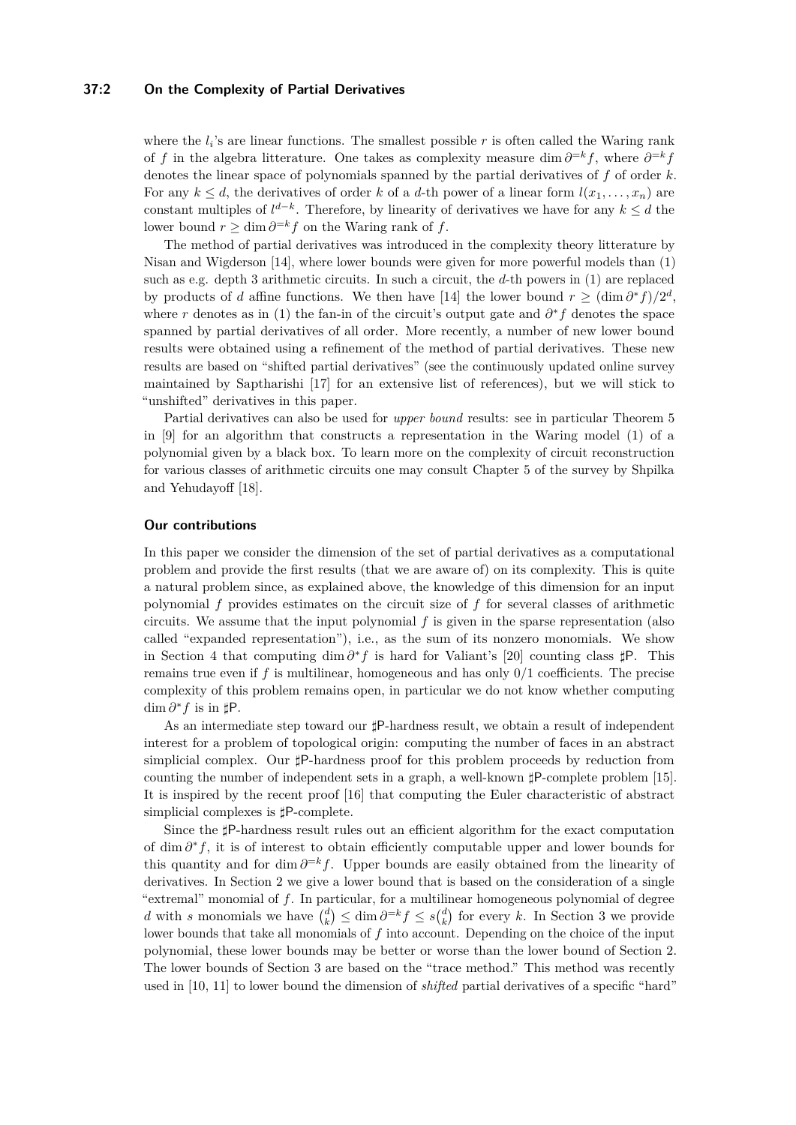# **37:2 On the Complexity of Partial Derivatives**

where the  $l_i$ 's are linear functions. The smallest possible  $r$  is often called the Waring rank of *f* in the algebra litterature. One takes as complexity measure dim  $\partial^{=k} f$ , where  $\partial^{=k} f$ denotes the linear space of polynomials spanned by the partial derivatives of *f* of order *k*. For any  $k \leq d$ , the derivatives of order k of a d-th power of a linear form  $l(x_1, \ldots, x_n)$  are constant multiples of  $l^{d-k}$ . Therefore, by linearity of derivatives we have for any  $k \leq d$  the lower bound  $r \geq \dim \partial^{=k} f$  on the Waring rank of  $f$ .

The method of partial derivatives was introduced in the complexity theory litterature by Nisan and Wigderson [\[14\]](#page-12-2), where lower bounds were given for more powerful models than [\(1\)](#page-0-0) such as e.g. depth 3 arithmetic circuits. In such a circuit, the *d*-th powers in [\(1\)](#page-0-0) are replaced by products of *d* affine functions. We then have [\[14\]](#page-12-2) the lower bound  $r \geq (\dim \partial^* f)/2^d$ , where *r* denotes as in [\(1\)](#page-0-0) the fan-in of the circuit's output gate and *∂* <sup>∗</sup>*f* denotes the space spanned by partial derivatives of all order. More recently, a number of new lower bound results were obtained using a refinement of the method of partial derivatives. These new results are based on "shifted partial derivatives" (see the continuously updated online survey maintained by Saptharishi [\[17\]](#page-12-3) for an extensive list of references), but we will stick to "unshifted" derivatives in this paper.

Partial derivatives can also be used for *upper bound* results: see in particular Theorem 5 in [\[9\]](#page-12-4) for an algorithm that constructs a representation in the Waring model [\(1\)](#page-0-0) of a polynomial given by a black box. To learn more on the complexity of circuit reconstruction for various classes of arithmetic circuits one may consult Chapter 5 of the survey by Shpilka and Yehudayoff [\[18\]](#page-12-5).

#### **Our contributions**

In this paper we consider the dimension of the set of partial derivatives as a computational problem and provide the first results (that we are aware of) on its complexity. This is quite a natural problem since, as explained above, the knowledge of this dimension for an input polynomial *f* provides estimates on the circuit size of *f* for several classes of arithmetic circuits. We assume that the input polynomial *f* is given in the sparse representation (also called "expanded representation"), i.e., as the sum of its nonzero monomials. We show in Section [4](#page-10-0) that computing dim *∂* <sup>∗</sup>*f* is hard for Valiant's [\[20\]](#page-12-6) counting class *]*P. This remains true even if  $f$  is multilinear, homogeneous and has only  $0/1$  coefficients. The precise complexity of this problem remains open, in particular we do not know whether computing  $\dim \partial^* f$  is in  $\sharp P$ .

As an intermediate step toward our *]*P-hardness result, we obtain a result of independent interest for a problem of topological origin: computing the number of faces in an abstract simplicial complex. Our  $\sharp$ P-hardness proof for this problem proceeds by reduction from counting the number of independent sets in a graph, a well-known *]*P-complete problem [\[15\]](#page-12-7). It is inspired by the recent proof [\[16\]](#page-12-8) that computing the Euler characteristic of abstract simplicial complexes is  $\sharp$ P-complete.

Since the  $\sharp$ P-hardness result rules out an efficient algorithm for the exact computation of dim *∂* <sup>∗</sup>*f*, it is of interest to obtain efficiently computable upper and lower bounds for this quantity and for dim *∂* <sup>=</sup>*<sup>k</sup>f*. Upper bounds are easily obtained from the linearity of derivatives. In Section [2](#page-3-0) we give a lower bound that is based on the consideration of a single "extremal" monomial of *f*. In particular, for a multilinear homogeneous polynomial of degree d with *s* monomials we have  $\binom{d}{k} \leq \dim \partial^{=k} f \leq s\binom{d}{k}$  for every *k*. In Section [3](#page-4-0) we provide lower bounds that take all monomials of *f* into account. Depending on the choice of the input polynomial, these lower bounds may be better or worse than the lower bound of Section [2.](#page-3-0) The lower bounds of Section [3](#page-4-0) are based on the "trace method." This method was recently used in [\[10,](#page-12-9) [11\]](#page-12-10) to lower bound the dimension of *shifted* partial derivatives of a specific "hard"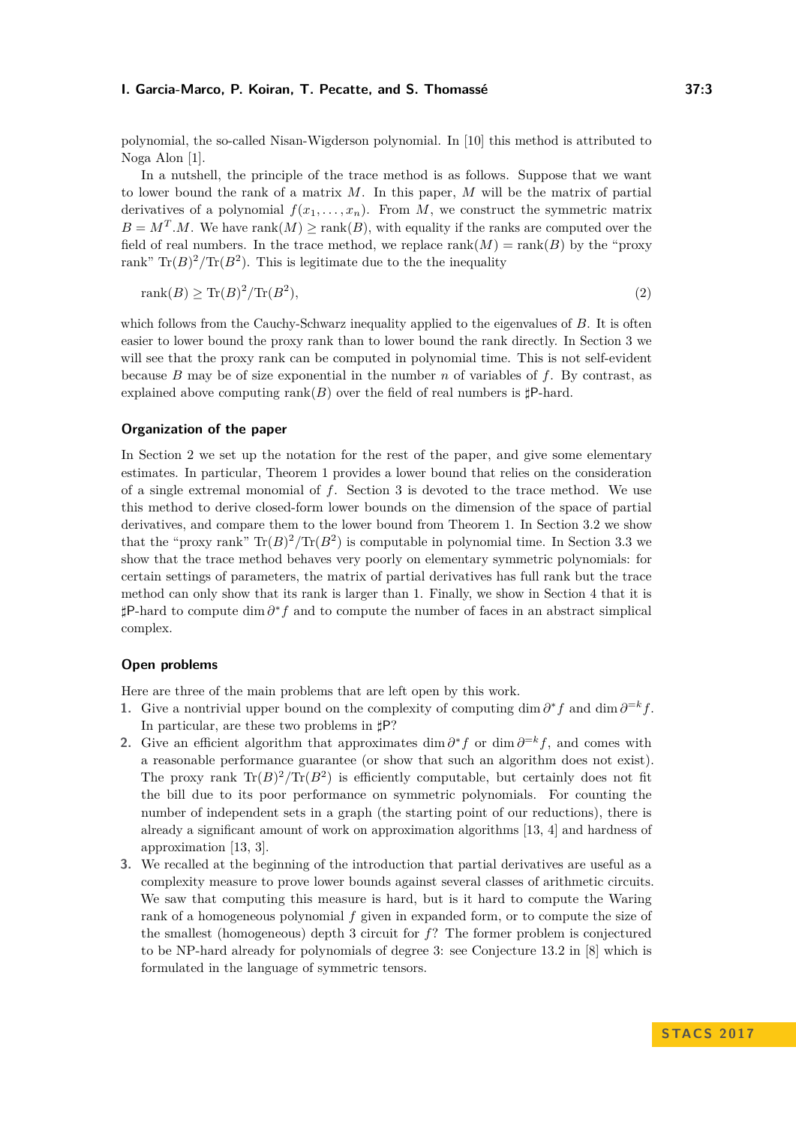polynomial, the so-called Nisan-Wigderson polynomial. In [\[10\]](#page-12-9) this method is attributed to Noga Alon [\[1\]](#page-12-11).

In a nutshell, the principle of the trace method is as follows. Suppose that we want to lower bound the rank of a matrix *M*. In this paper, *M* will be the matrix of partial derivatives of a polynomial  $f(x_1, \ldots, x_n)$ . From M, we construct the symmetric matrix  $B = M^T \cdot M$ . We have rank $(M) \geq \text{rank}(B)$ , with equality if the ranks are computed over the field of real numbers. In the trace method, we replace  $rank(M) = rank(B)$  by the "proxy" rank"  $\text{Tr}(B)^2/\text{Tr}(B^2)$ . This is legitimate due to the the inequality

$$
rank(B) \geq Tr(B)^2 / Tr(B^2),\tag{2}
$$

which follows from the Cauchy-Schwarz inequality applied to the eigenvalues of *B*. It is often easier to lower bound the proxy rank than to lower bound the rank directly. In Section [3](#page-4-0) we will see that the proxy rank can be computed in polynomial time. This is not self-evident because *B* may be of size exponential in the number *n* of variables of *f*. By contrast, as explained above computing  $rank(B)$  over the field of real numbers is  $\sharp$ **P**-hard.

#### **Organization of the paper**

In Section [2](#page-3-0) we set up the notation for the rest of the paper, and give some elementary estimates. In particular, Theorem [1](#page-3-1) provides a lower bound that relies on the consideration of a single extremal monomial of *f*. Section [3](#page-4-0) is devoted to the trace method. We use this method to derive closed-form lower bounds on the dimension of the space of partial derivatives, and compare them to the lower bound from Theorem [1.](#page-3-1) In Section [3.2](#page-7-0) we show that the "proxy rank"  $\text{Tr}(B)^2/\text{Tr}(B^2)$  is computable in polynomial time. In Section [3.3](#page-8-0) we show that the trace method behaves very poorly on elementary symmetric polynomials: for certain settings of parameters, the matrix of partial derivatives has full rank but the trace method can only show that its rank is larger than 1. Finally, we show in Section [4](#page-10-0) that it is *]*P-hard to compute dim *∂* <sup>∗</sup>*f* and to compute the number of faces in an abstract simplical complex.

## **Open problems**

Here are three of the main problems that are left open by this work.

- **1.** Give a nontrivial upper bound on the complexity of computing dim  $\partial^* f$  and dim  $\partial^{=k} f$ . In particular, are these two problems in  $\sharp P$ ?
- 2. Give an efficient algorithm that approximates dim  $\partial^* f$  or dim  $\partial^{=k} f$ , and comes with a reasonable performance guarantee (or show that such an algorithm does not exist). The proxy rank  $\text{Tr}(B)^2/\text{Tr}(B^2)$  is efficiently computable, but certainly does not fit the bill due to its poor performance on symmetric polynomials. For counting the number of independent sets in a graph (the starting point of our reductions), there is already a significant amount of work on approximation algorithms [\[13,](#page-12-12) [4\]](#page-12-13) and hardness of approximation [\[13,](#page-12-12) [3\]](#page-12-14).
- **3.** We recalled at the beginning of the introduction that partial derivatives are useful as a complexity measure to prove lower bounds against several classes of arithmetic circuits. We saw that computing this measure is hard, but is it hard to compute the Waring rank of a homogeneous polynomial *f* given in expanded form, or to compute the size of the smallest (homogeneous) depth 3 circuit for *f*? The former problem is conjectured to be NP-hard already for polynomials of degree 3: see Conjecture 13.2 in [\[8\]](#page-12-15) which is formulated in the language of symmetric tensors.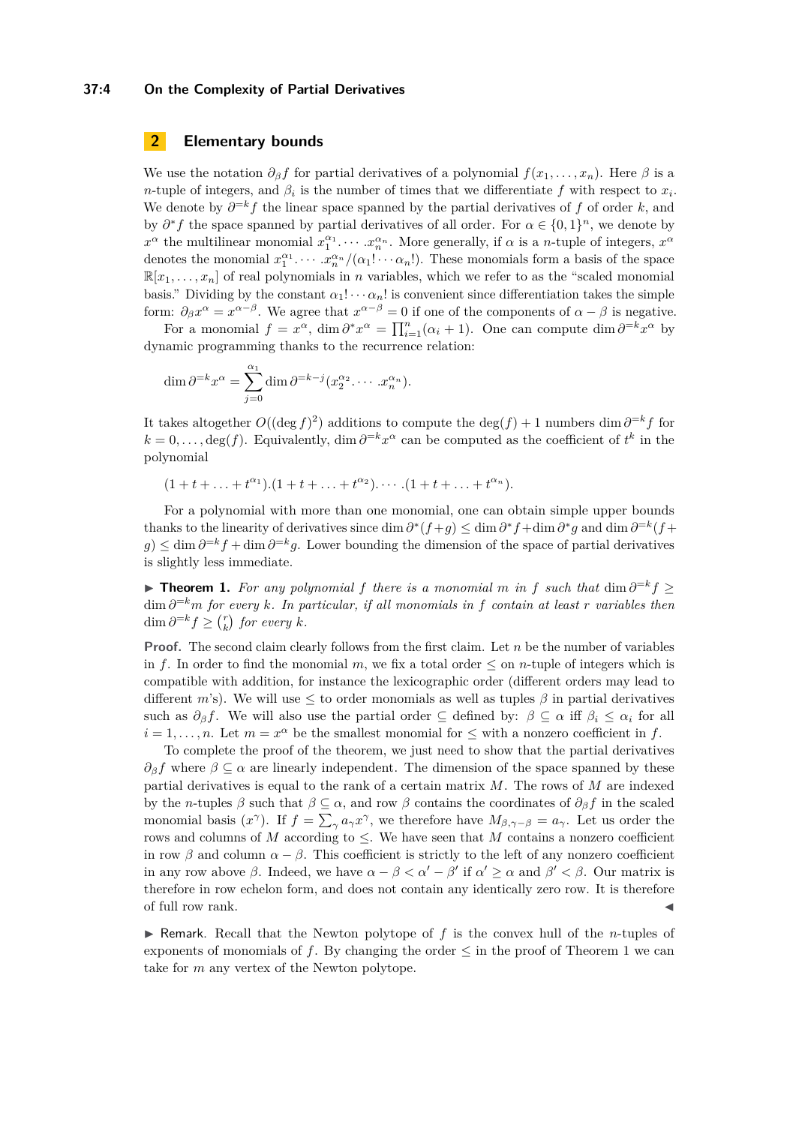## **37:4 On the Complexity of Partial Derivatives**

# <span id="page-3-0"></span>**2 Elementary bounds**

We use the notation  $\partial_{\beta} f$  for partial derivatives of a polynomial  $f(x_1, \ldots, x_n)$ . Here  $\beta$  is a *n*-tuple of integers, and  $\beta_i$  is the number of times that we differentiate  $f$  with respect to  $x_i$ . We denote by  $\partial^{=k} f$  the linear space spanned by the partial derivatives of f of order k, and by  $\partial^* f$  the space spanned by partial derivatives of all order. For  $\alpha \in \{0,1\}^n$ , we denote by *x*<sup>α</sup> the multilinear monomial  $x_1^{\alpha_1} \cdots x_n^{\alpha_n}$ . More generally, if  $\alpha$  is a *n*-tuple of integers,  $x^{\alpha}$ denotes the monomial  $x_1^{\alpha_1} \cdots x_n^{\alpha_n} / (\alpha_1! \cdots \alpha_n!)$ . These monomials form a basis of the space  $\mathbb{R}[x_1,\ldots,x_n]$  of real polynomials in *n* variables, which we refer to as the "scaled monomial" basis." Dividing by the constant  $\alpha_1! \cdots \alpha_n!$  is convenient since differentiation takes the simple form:  $\partial_{\beta} x^{\alpha} = x^{\alpha-\beta}$ . We agree that  $x^{\alpha-\beta} = 0$  if one of the components of  $\alpha - \beta$  is negative.

For a monomial  $f = x^{\alpha}$ , dim  $\partial^* x^{\alpha} = \prod_{i=1}^n (\alpha_i + 1)$ . One can compute dim  $\partial^{=k} x^{\alpha}$  by dynamic programming thanks to the recurrence relation:

$$
\dim \partial^{=k} x^{\alpha} = \sum_{j=0}^{\alpha_1} \dim \partial^{=k-j} (x_2^{\alpha_2} \cdots x_n^{\alpha_n}).
$$

It takes altogether  $O((\deg f)^2)$  additions to compute the  $\deg(f) + 1$  numbers dim  $\partial^{=k} f$  for  $k = 0, \ldots, \deg(f)$ . Equivalently, dim  $\partial^{=k} x^{\alpha}$  can be computed as the coefficient of  $t^k$  in the polynomial

 $(1 + t + \ldots + t^{\alpha_1}).(1 + t + \ldots + t^{\alpha_2}).\cdots.(1 + t + \ldots + t^{\alpha_n}).$ 

For a polynomial with more than one monomial, one can obtain simple upper bounds thanks to the linearity of derivatives since dim  $\partial^*(f+g) \leq \dim \partial^* f + \dim \partial^* g$  and  $\dim \partial^{=k}(f+g)$ *g*) ≤ dim  $\partial$ <sup>-*k*</sup>*f* + dim  $\partial$ <sup>-*k*</sup>*g*. Lower bounding the dimension of the space of partial derivatives is slightly less immediate.

<span id="page-3-1"></span>▶ **Theorem 1.** For any polynomial f there is a monomial m in f such that  $\dim \partial^{=k} f$  ≥ dim *∂* <sup>=</sup>*km for every k. In particular, if all monomials in f contain at least r variables then*  $\dim \partial^{=k} f \geq {r \choose k}$  for every  $k$ .

**Proof.** The second claim clearly follows from the first claim. Let *n* be the number of variables in f. In order to find the monomial  $m$ , we fix a total order  $\leq$  on *n*-tuple of integers which is compatible with addition, for instance the lexicographic order (different orders may lead to different *m*'s). We will use  $\leq$  to order monomials as well as tuples  $\beta$  in partial derivatives such as  $\partial_{\beta} f$ . We will also use the partial order  $\subseteq$  defined by:  $\beta \subseteq \alpha$  iff  $\beta_i \leq \alpha_i$  for all  $i = 1, \ldots, n$ . Let  $m = x^{\alpha}$  be the smallest monomial for  $\leq$  with a nonzero coefficient in *f*.

To complete the proof of the theorem, we just need to show that the partial derivatives  $\partial_{\beta} f$  where  $\beta \subseteq \alpha$  are linearly independent. The dimension of the space spanned by these partial derivatives is equal to the rank of a certain matrix *M*. The rows of *M* are indexed by the *n*-tuples  $\beta$  such that  $\beta \subseteq \alpha$ , and row  $\beta$  contains the coordinates of  $\partial_{\beta} f$  in the scaled monomial basis  $(x^{\gamma})$ . If  $f = \sum_{\gamma} a_{\gamma} x^{\gamma}$ , we therefore have  $M_{\beta,\gamma-\beta} = a_{\gamma}$ . Let us order the rows and columns of  $M$  according to  $\leq$ . We have seen that  $M$  contains a nonzero coefficient in row  $\beta$  and column  $\alpha - \beta$ . This coefficient is strictly to the left of any nonzero coefficient in any row above *β*. Indeed, we have  $\alpha - \beta < \alpha' - \beta'$  if  $\alpha' \geq \alpha$  and  $\beta' < \beta$ . Our matrix is therefore in row echelon form, and does not contain any identically zero row. It is therefore of full row rank.

 $\blacktriangleright$  Remark. Recall that the Newton polytope of *f* is the convex hull of the *n*-tuples of exponents of monomials of *f*. By changing the order  $\leq$  in the proof of Theorem [1](#page-3-1) we can take for *m* any vertex of the Newton polytope.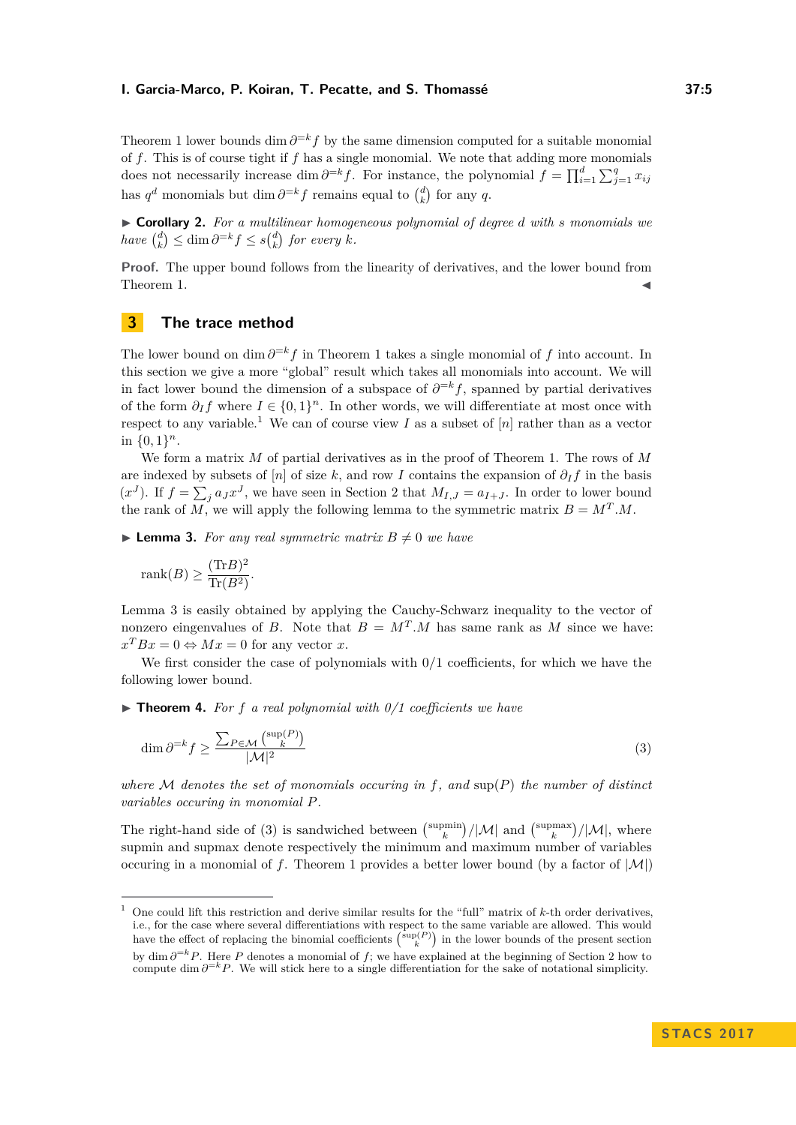Theorem [1](#page-3-1) lower bounds dim  $\partial^{=k} f$  by the same dimension computed for a suitable monomial of *f*. This is of course tight if *f* has a single monomial. We note that adding more monomials does not necessarily increase dim  $\partial^{=k} f$ . For instance, the polynomial  $f = \prod_{i=1}^{d} \sum_{j=1}^{q} x_{ij}$ has  $q^d$  monomials but dim  $\partial^{=k} f$  remains equal to  $\binom{d}{k}$  for any  $q$ .

I **Corollary 2.** *For a multilinear homogeneous polynomial of degree d with s monomials we*  $have\binom{d}{k} \leq \dim \partial^{-k} f \leq s\binom{d}{k}$  *for every*  $k$ *.* 

**Proof.** The upper bound follows from the linearity of derivatives, and the lower bound from Theorem [1.](#page-3-1)  $\blacktriangleleft$ 

# <span id="page-4-0"></span>**3 The trace method**

The lower bound on dim  $\partial^{=k} f$  in Theorem [1](#page-3-1) takes a single monomial of f into account. In this section we give a more "global" result which takes all monomials into account. We will in fact lower bound the dimension of a subspace of  $\partial^{-k} f$ , spanned by partial derivatives of the form  $\partial_I f$  where  $I \in \{0,1\}^n$ . In other words, we will differentiate at most once with respect to any variable.<sup>[1](#page-4-1)</sup> We can of course view *I* as a subset of  $[n]$  rather than as a vector in  $\{0, 1\}^n$ .

We form a matrix *M* of partial derivatives as in the proof of Theorem [1.](#page-3-1) The rows of *M* are indexed by subsets of [*n*] of size *k*, and row *I* contains the expansion of  $\partial_I f$  in the basis  $(x<sup>J</sup>)$ . If  $f = \sum_j a_J x<sup>J</sup>$ , we have seen in Section [2](#page-3-0) that  $M_{I,J} = a_{I+J}$ . In order to lower bound the rank of  $M$ , we will apply the following lemma to the symmetric matrix  $B = M^T M$ .

<span id="page-4-2"></span>**Lemma 3.** For any real symmetric matrix  $B \neq 0$  we have

$$
rank(B) \ge \frac{(\text{Tr}B)^2}{\text{Tr}(B^2)}.
$$

Lemma [3](#page-4-2) is easily obtained by applying the Cauchy-Schwarz inequality to the vector of nonzero eingenvalues of *B*. Note that  $B = M<sup>T</sup>$ . M has same rank as M since we have:  $x^T B x = 0 \Leftrightarrow M x = 0$  for any vector *x*.

We first consider the case of polynomials with  $0/1$  coefficients, for which we have the following lower bound.

<span id="page-4-4"></span> $\triangleright$  **Theorem 4.** For f a real polynomial with  $0/1$  coefficients we have

<span id="page-4-3"></span>
$$
\dim \partial^{=k} f \ge \frac{\sum_{P \in \mathcal{M}} {sup(P) \choose k}}{|\mathcal{M}|^2} \tag{3}
$$

*where* M *denotes the set of monomials occuring in f, and* sup(*P*) *the number of distinct variables occuring in monomial P.*

The right-hand side of [\(3\)](#page-4-3) is sandwiched between  $\binom{\text{supmin}}{k}/|\mathcal{M}|$  and  $\binom{\text{supmax}}{k}/|\mathcal{M}|$ , where supmin and supmax denote respectively the minimum and maximum number of variables occuring in a monomial of f. Theorem [1](#page-3-1) provides a better lower bound (by a factor of  $|\mathcal{M}|$ )

<span id="page-4-1"></span><sup>1</sup> One could lift this restriction and derive similar results for the "full" matrix of *k*-th order derivatives, i.e., for the case where several differentiations with respect to the same variable are allowed. This would have the effect of replacing the binomial coefficients  $\binom{\sup(P)}{k}$  in the lower bounds of the present section by dim *∂* <sup>=</sup>*<sup>k</sup>P*. Here *P* denotes a monomial of *f*; we have explained at the beginning of Section [2](#page-3-0) how to compute dim  $\partial^{=k}P$ . We will stick here to a single differentiation for the sake of notational simplicity.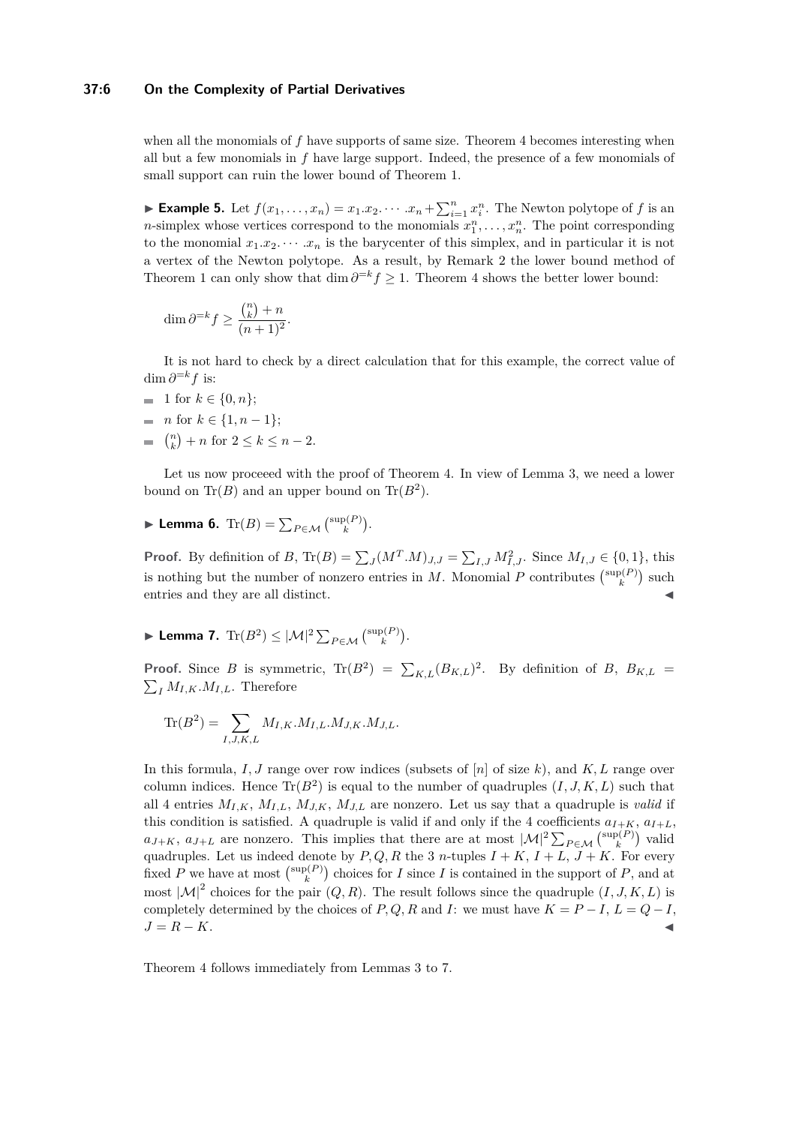# **37:6 On the Complexity of Partial Derivatives**

when all the monomials of f have supports of same size. Theorem [4](#page-4-4) becomes interesting when all but a few monomials in *f* have large support. Indeed, the presence of a few monomials of small support can ruin the lower bound of Theorem [1.](#page-3-1)

**Example 5.** Let  $f(x_1, \ldots, x_n) = x_1 \cdot x_2 \cdot \cdots \cdot x_n + \sum_{i=1}^n x_i^n$ . The Newton polytope of *f* is an *n*-simplex whose vertices correspond to the monomials  $x_1^n, \ldots, x_n^n$ . The point corresponding to the monomial  $x_1, x_2, \cdots, x_n$  is the barycenter of this simplex, and in particular it is not a vertex of the Newton polytope. As a result, by Remark [2](#page-3-1) the lower bound method of Theorem [1](#page-3-1) can only show that  $\dim \partial^{=k} f \geq 1$ . Theorem [4](#page-4-4) shows the better lower bound:

$$
\dim \partial^{=k} f \ge \frac{\binom{n}{k} + n}{(n+1)^2}.
$$

It is not hard to check by a direct calculation that for this example, the correct value of  $\dim \partial^{=k} f$  is:

- 1 for  $k \in \{0, n\};$
- $\blacksquare$  *n* for  $k \in \{1, n-1\};$
- ${n \choose k} + n$  for  $2 \le k \le n 2$ .

Let us now proceed with the proof of Theorem [4.](#page-4-4) In view of Lemma [3,](#page-4-2) we need a lower bound on  $\text{Tr}(B)$  and an upper bound on  $\text{Tr}(B^2)$ .

<span id="page-5-1"></span>
$$
\blacktriangleright \textbf{Lemma 6. } \operatorname{Tr}(B) = \sum_{P \in \mathcal{M}} { \operatorname{sup}(P) \choose k }.
$$

**Proof.** By definition of *B*,  $\text{Tr}(B) = \sum_{J} (M^T \cdot M)_{J,J} = \sum_{I,J} M_{I,J}^2$ . Since  $M_{I,J} \in \{0,1\}$ , this is nothing but the number of nonzero entries in *M*. Monomial *P* contributes  $\binom{\sup(P)}{k}$  such entries and they are all distinct.

<span id="page-5-0"></span>
$$
\blacktriangleright \text{ Lemma 7. } \operatorname{Tr}(B^2) \leq |\mathcal{M}|^2 \sum_{P \in \mathcal{M}} {sup(P) \choose k}.
$$

**Proof.** Since *B* is symmetric, Tr( $B^2$ ) =  $\sum_{K,L} (B_{K,L})^2$ . By definition of *B*,  $B_{K,L}$  =  $\sum_{I} M_{I,K} . M_{I,L}$ . Therefore

$$
\text{Tr}(B^2)=\sum_{I,J,K,L}M_{I,K}.M_{I,L}.M_{J,K}.M_{J,L}.
$$

In this formula, *I, J* range over row indices (subsets of [*n*] of size *k*), and *K, L* range over column indices. Hence  $\text{Tr}(B^2)$  is equal to the number of quadruples  $(I, J, K, L)$  such that all 4 entries  $M_{I,K}$ ,  $M_{J,L}$ ,  $M_{J,K}$ ,  $M_{J,L}$  are nonzero. Let us say that a quadruple is *valid* if this condition is satisfied. A quadruple is valid if and only if the 4 coefficients  $a_{I+K}$ ,  $a_{I+L}$ ,  $a_{J+K}$ ,  $a_{J+L}$  are nonzero. This implies that there are at most  $|\mathcal{M}|^2 \sum_{P \in \mathcal{M}} {sup(P) \choose k}$  valid quadruples. Let us indeed denote by  $P, Q, R$  the 3 *n*-tuples  $I + K$ ,  $I + L$ ,  $J + K$ . For every fixed P we have at most  $\binom{\sup(P)}{k}$  choices for I since I is contained in the support of P, and at most  $|M|^2$  choices for the pair  $(Q, R)$ . The result follows since the quadruple  $(I, J, K, L)$  is completely determined by the choices of  $P, Q, R$  and  $I:$  we must have  $K = P - I, L = Q - I$ ,  $J = R - K$ .

Theorem [4](#page-4-4) follows immediately from Lemmas [3](#page-4-2) to [7.](#page-5-0)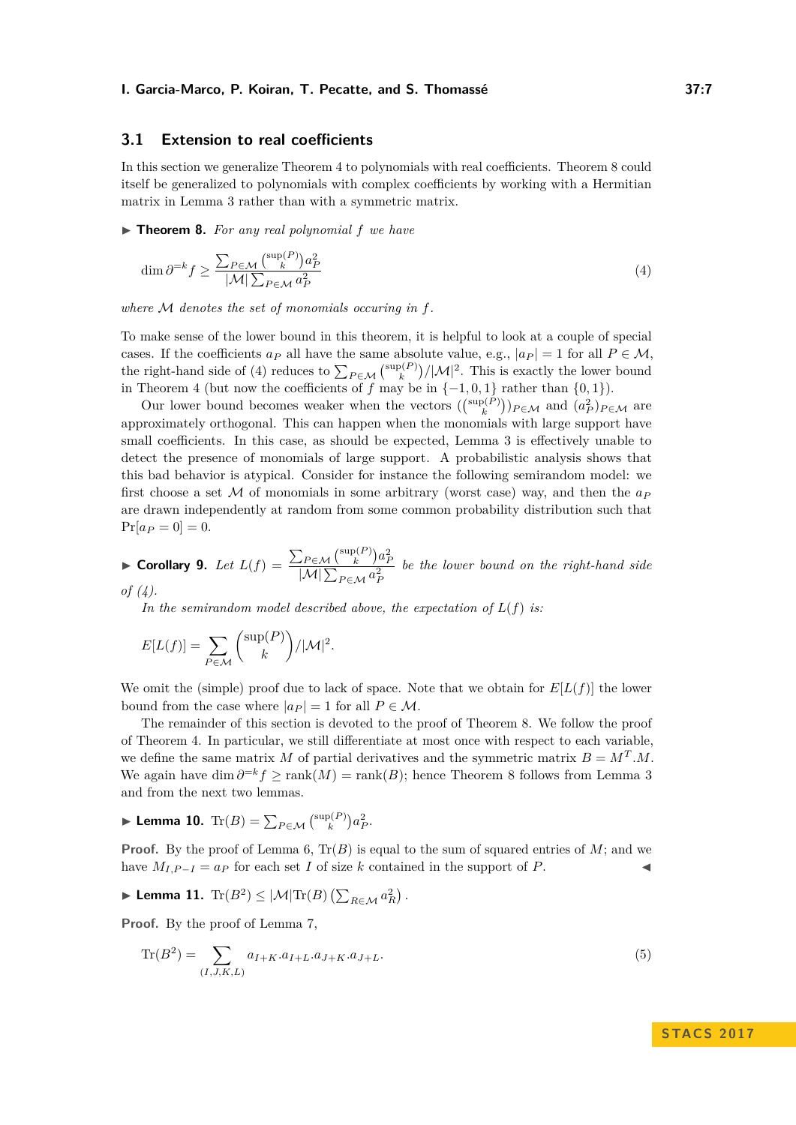# **3.1 Extension to real coefficients**

In this section we generalize Theorem [4](#page-4-4) to polynomials with real coefficients. Theorem [8](#page-6-0) could itself be generalized to polynomials with complex coefficients by working with a Hermitian matrix in Lemma [3](#page-4-2) rather than with a symmetric matrix.

<span id="page-6-0"></span>I **Theorem 8.** *For any real polynomial f we have*

<span id="page-6-1"></span>
$$
\dim \partial^{=k} f \ge \frac{\sum_{P \in \mathcal{M}} {sup(P) \choose k} a_P^2}{|\mathcal{M}| \sum_{P \in \mathcal{M}} a_P^2}
$$
\n(4)

*where* M *denotes the set of monomials occuring in f.*

To make sense of the lower bound in this theorem, it is helpful to look at a couple of special cases. If the coefficients  $a_P$  all have the same absolute value, e.g.,  $|a_P| = 1$  for all  $P \in \mathcal{M}$ , the right-hand side of [\(4\)](#page-6-1) reduces to  $\sum_{P \in \mathcal{M}} {sup(P) \choose k} / |\mathcal{M}|^2$ . This is exactly the lower bound in Theorem [4](#page-4-4) (but now the coefficients of  $f$  may be in  $\{-1,0,1\}$  rather than  $\{0,1\}$ ).

Our lower bound becomes weaker when the vectors  $\binom{(\text{sup}(P))}{k}$  $p \in \mathcal{M}$  and  $\binom{a}{P}$  $p \in \mathcal{M}$  are approximately orthogonal. This can happen when the monomials with large support have small coefficients. In this case, as should be expected, Lemma [3](#page-4-2) is effectively unable to detect the presence of monomials of large support. A probabilistic analysis shows that this bad behavior is atypical. Consider for instance the following semirandom model: we first choose a set M of monomials in some arbitrary (worst case) way, and then the  $a<sub>P</sub>$ are drawn independently at random from some common probability distribution such that  $Pr[a_P = 0] = 0.$ 

▶ Corollary 9. Let  $L(f) = \frac{\sum_{P \in \mathcal{M}} {s_{\text{up}}(P) \choose k} a_P^2}{\frac{2}{p}}$  $|\mathcal{M}| \sum_{P \in \mathcal{M}} a_P^2$ *be the lower bound on the right-hand side of [\(4\)](#page-6-1).*

*In the semirandom model described above, the expectation of L*(*f*) *is:*

$$
E[L(f)] = \sum_{P \in \mathcal{M}} {\sup(P) \choose k} / |\mathcal{M}|^2.
$$

We omit the (simple) proof due to lack of space. Note that we obtain for  $E[L(f)]$  the lower bound from the case where  $|a_P| = 1$  for all  $P \in \mathcal{M}$ .

The remainder of this section is devoted to the proof of Theorem [8.](#page-6-0) We follow the proof of Theorem [4.](#page-4-4) In particular, we still differentiate at most once with respect to each variable, we define the same matrix *M* of partial derivatives and the symmetric matrix  $B = M^T M$ . We again have dim  $\partial^{-k} f \ge \text{rank}(M) = \text{rank}(B)$ ; hence Theorem [8](#page-6-0) follows from Lemma [3](#page-4-2) and from the next two lemmas.

<span id="page-6-3"></span>▶ Lemma 10.  $\text{Tr}(B) = \sum_{P \in \mathcal{M}} {sup(P) \choose k} a_P^2$ .

**Proof.** By the proof of Lemma [6,](#page-5-1)  $Tr(B)$  is equal to the sum of squared entries of  $M$ ; and we have  $M_{I,P-I} = a_P$  for each set *I* of size *k* contained in the support of *P*.

<span id="page-6-4"></span>
$$
\blacktriangleright \textbf{ Lemma 11. } \operatorname{Tr}(B^2) \leq |\mathcal{M}| \operatorname{Tr}(B) \left( \sum_{R \in \mathcal{M}} a_R^2 \right).
$$

**Proof.** By the proof of Lemma [7,](#page-5-0)

<span id="page-6-2"></span>
$$
\text{Tr}(B^2) = \sum_{(I,J,K,L)} a_{I+K}.a_{I+L}.a_{J+K}.a_{J+L}.
$$
\n(5)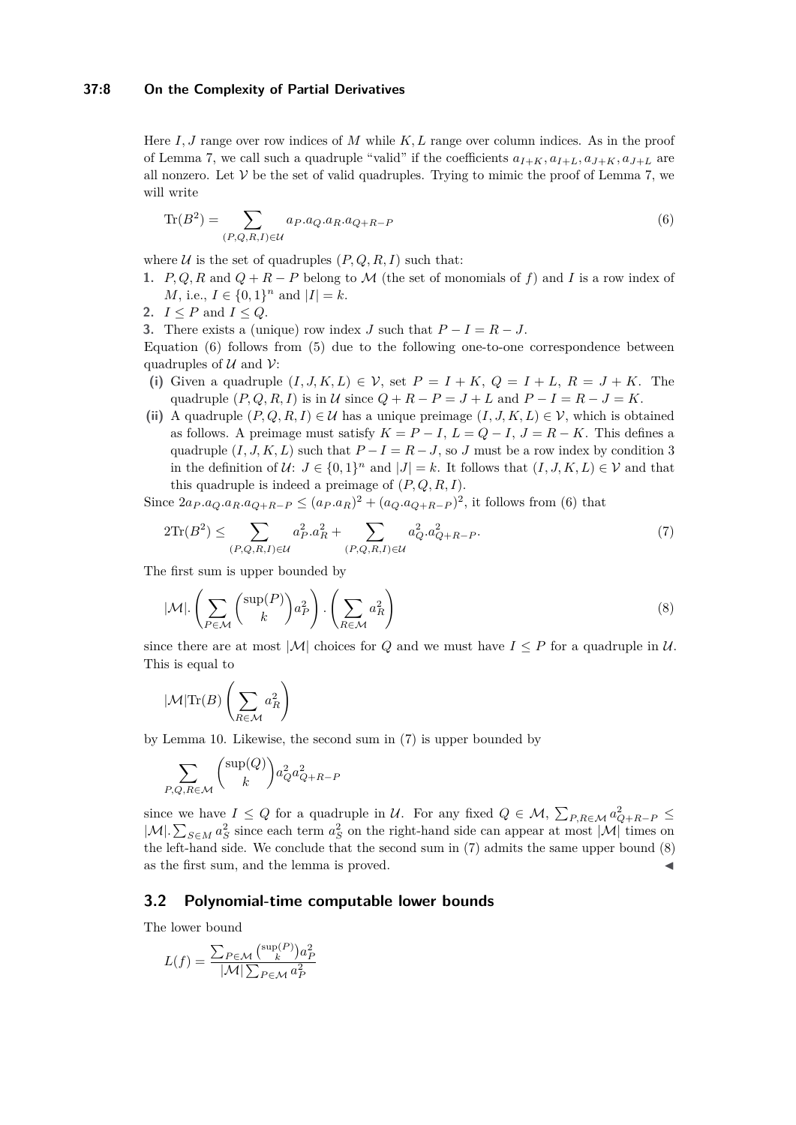## **37:8 On the Complexity of Partial Derivatives**

Here *I, J* range over row indices of *M* while *K, L* range over column indices. As in the proof of Lemma [7,](#page-5-0) we call such a quadruple "valid" if the coefficients  $a_{I+K}, a_{I+L}, a_{J+K}, a_{J+L}$  are all nonzero. Let  $V$  be the set of valid quadruples. Trying to mimic the proof of Lemma [7,](#page-5-0) we will write

<span id="page-7-1"></span>
$$
\text{Tr}(B^2) = \sum_{(P,Q,R,I)\in\mathcal{U}} a_P.a_Q.a_R.a_{Q+R-P}
$$
\n
$$
(6)
$$

where  $U$  is the set of quadruples  $(P, Q, R, I)$  such that:

- **1.** *P, Q, R* and  $Q + R P$  belong to M (the set of monomials of f) and *I* is a row index of *M*, i.e.,  $I \in \{0,1\}^n$  and  $|I| = k$ .
- 2.  $I \leq P$  and  $I \leq Q$ .

**3.** There exists a (unique) row index *J* such that  $P - I = R - J$ .

Equation [\(6\)](#page-7-1) follows from [\(5\)](#page-6-2) due to the following one-to-one correspondence between quadruples of  $U$  and  $V$ :

- (i) Given a quadruple  $(I, J, K, L) \in \mathcal{V}$ , set  $P = I + K$ ,  $Q = I + L$ ,  $R = J + K$ . The quadruple  $(P, Q, R, I)$  is in  $U$  since  $Q + R - P = J + L$  and  $P - I = R - J = K$ .
- (ii) A quadruple  $(P, Q, R, I) \in \mathcal{U}$  has a unique preimage  $(I, J, K, L) \in \mathcal{V}$ , which is obtained as follows. A preimage must satisfy  $K = P - I$ ,  $L = Q - I$ ,  $J = R - K$ . This defines a quadruple  $(I, J, K, L)$  such that  $P - I = R - J$ , so *J* must be a row index by condition 3 in the definition of  $U: J \in \{0,1\}^n$  and  $|J| = k$ . It follows that  $(I, J, K, L) \in V$  and that this quadruple is indeed a preimage of (*P, Q, R, I*).

Since  $2a_P.a_Q.a_R.a_{Q+R-P} \leq (a_P.a_R)^2 + (a_Q.a_{Q+R-P})^2$ , it follows from [\(6\)](#page-7-1) that

<span id="page-7-2"></span>
$$
2\text{Tr}(B^2) \le \sum_{(P,Q,R,I)\in\mathcal{U}} a_P^2 a_R^2 + \sum_{(P,Q,R,I)\in\mathcal{U}} a_Q^2 a_{Q+R-P}^2. \tag{7}
$$

The first sum is upper bounded by

<span id="page-7-3"></span>
$$
|\mathcal{M}| \cdot \left(\sum_{P \in \mathcal{M}} \binom{\sup(P)}{k} a_P^2\right) \cdot \left(\sum_{R \in \mathcal{M}} a_R^2\right) \tag{8}
$$

since there are at most  $|M|$  choices for *Q* and we must have  $I \leq P$  for a quadruple in *U*. This is equal to

$$
|\mathcal{M}|\text{Tr}(B)\left(\sum_{R\in\mathcal{M}}a_R^2\right)
$$

by Lemma [10.](#page-6-3) Likewise, the second sum in [\(7\)](#page-7-2) is upper bounded by

$$
\sum_{P,Q,R \in \mathcal{M}} \binom{\sup(Q)}{k} a_Q^2 a_{Q+R-P}^2
$$

since we have  $I \leq Q$  for a quadruple in U. For any fixed  $Q \in \mathcal{M}$ ,  $\sum_{P,R \in \mathcal{M}} a_{Q+R-P}^2 \leq$  $|\mathcal{M}|$ .  $\sum_{S \in M} a_S^2$  since each term  $a_S^2$  on the right-hand side can appear at most  $|\mathcal{M}|$  times on the left-hand side. We conclude that the second sum in [\(7\)](#page-7-2) admits the same upper bound [\(8\)](#page-7-3) as the first sum, and the lemma is proved.

# <span id="page-7-0"></span>**3.2 Polynomial-time computable lower bounds**

The lower bound

$$
L(f) = \frac{\sum_{P \in \mathcal{M}} {sup(P) \choose k} a_P^2}{|\mathcal{M}| \sum_{P \in \mathcal{M}} a_P^2}
$$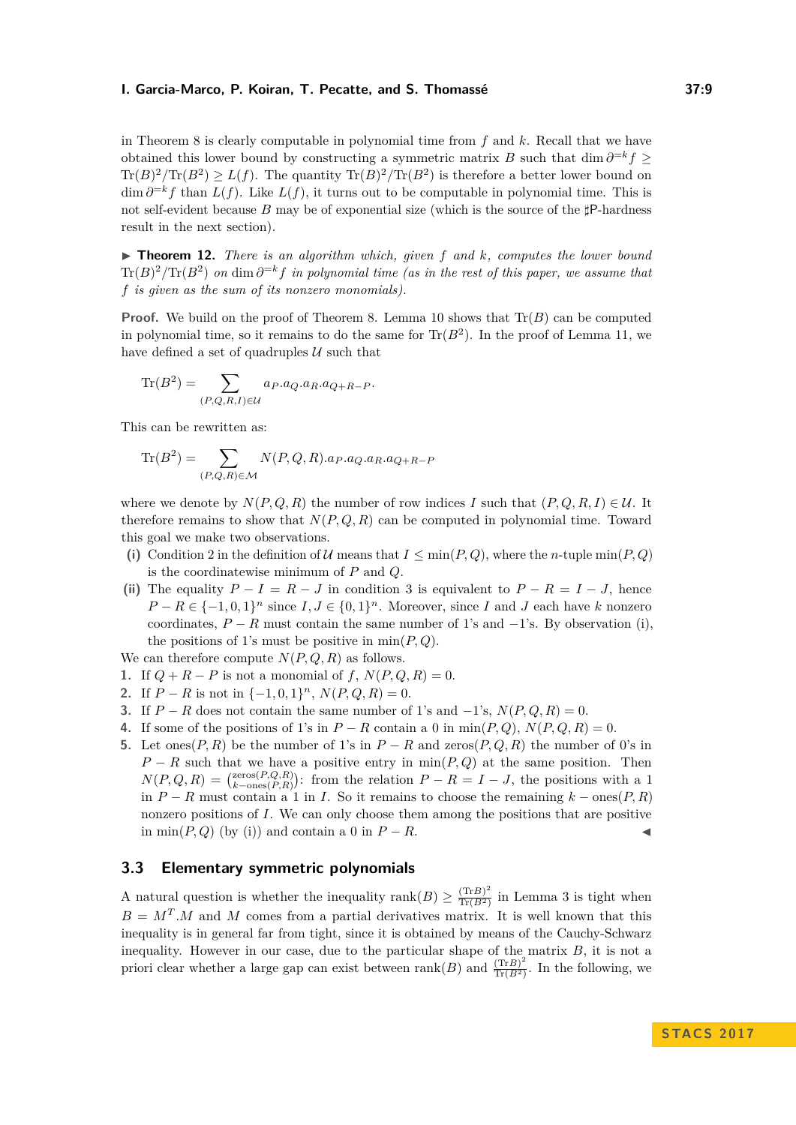in Theorem [8](#page-6-0) is clearly computable in polynomial time from *f* and *k*. Recall that we have obtained this lower bound by constructing a symmetric matrix *B* such that dim  $\partial^{=k} f \geq$  $\text{Tr}(B)^2/\text{Tr}(B^2) \ge L(f)$ . The quantity  $\text{Tr}(B)^2/\text{Tr}(B^2)$  is therefore a better lower bound on dim *∂* <sup>=</sup>*kf* than *L*(*f*). Like *L*(*f*), it turns out to be computable in polynomial time. This is not self-evident because *B* may be of exponential size (which is the source of the *]*P-hardness result in the next section).

I **Theorem 12.** *There is an algorithm which, given f and k, computes the lower bound*  $Tr(B)^2/Tr(B^2)$  *on* dim  $\partial^{=k}f$  *in polynomial time (as in the rest of this paper, we assume that f is given as the sum of its nonzero monomials).*

**Proof.** We build on the proof of Theorem [8.](#page-6-0) Lemma [10](#page-6-3) shows that  $Tr(B)$  can be computed in polynomial time, so it remains to do the same for  $\text{Tr}(B^2)$ . In the proof of Lemma [11,](#page-6-4) we have defined a set of quadruples  $\mathcal U$  such that

$$
\text{Tr}(B^2) = \sum_{(P,Q,R,I)\in\mathcal{U}} a_P.a_Q.a_R.a_{Q+R-P}.
$$

This can be rewritten as:

$$
\text{Tr}(B^2) = \sum_{(P,Q,R)\in\mathcal{M}} N(P,Q,R).a_P.a_Q.a_R.a_{Q+R-P}
$$

where we denote by  $N(P,Q,R)$  the number of row indices *I* such that  $(P,Q,R,I) \in \mathcal{U}$ . It therefore remains to show that  $N(P,Q,R)$  can be computed in polynomial time. Toward this goal we make two observations.

- (i) Condition 2 in the definition of U means that  $I \leq \min(P, Q)$ , where the *n*-tuple  $\min(P, Q)$ is the coordinatewise minimum of *P* and *Q*.
- (ii) The equality  $P I = R J$  in condition 3 is equivalent to  $P R = I J$ , hence  $P - R \in \{-1, 0, 1\}^n$  since  $I, J \in \{0, 1\}^n$ . Moreover, since *I* and *J* each have *k* nonzero coordinates,  $P - R$  must contain the same number of 1's and  $-1$ 's. By observation (i), the positions of 1's must be positive in  $\min(P,Q)$ .

We can therefore compute  $N(P,Q,R)$  as follows.

- **1.** If  $Q + R P$  is not a monomial of  $f, N(P, Q, R) = 0$ .
- **2.** If  $P R$  is not in  $\{-1, 0, 1\}^n$ ,  $N(P, Q, R) = 0$ .
- **3.** If  $P R$  does not contain the same number of 1's and  $-1$ 's,  $N(P, Q, R) = 0$ .
- **4.** If some of the positions of 1's in  $P R$  contain a 0 in min $(P, Q)$ ,  $N(P, Q, R) = 0$ .
- **5.** Let ones $(P, R)$  be the number of 1's in  $P R$  and zeros $(P, Q, R)$  the number of 0's in  $P - R$  such that we have a positive entry in  $\min(P, Q)$  at the same position. Then  $N(P,Q,R) = \binom{\text{zeros}(P,Q,R)}{k-\text{ones}(P,R)}$  $\lim_{k \to \text{ones}(P,Q,R)}$ : from the relation  $P - R = I - J$ , the positions with a 1 in  $P - R$  must contain a 1 in *I*. So it remains to choose the remaining  $k −$  ones( $P, R$ ) nonzero positions of *I*. We can only choose them among the positions that are positive in min( $P, Q$ ) (by (i)) and contain a 0 in  $P - R$ .

# <span id="page-8-0"></span>**3.3 Elementary symmetric polynomials**

A natural question is whether the inequality rank $(B) \geq \frac{(\text{Tr}B)^2}{\text{Tr}(B^2)}$  $\frac{(\text{Tr}B)^{-}}{\text{Tr}(B^{2})}$  in Lemma [3](#page-4-2) is tight when  $B = M<sup>T</sup>$ .*M* and *M* comes from a partial derivatives matrix. It is well known that this inequality is in general far from tight, since it is obtained by means of the Cauchy-Schwarz inequality. However in our case, due to the particular shape of the matrix *B*, it is not a priori clear whether a large gap can exist between rank(*B*) and  $\frac{(\text{Tr}B)^2}{\text{Tr}(B^2)}$  $\frac{(\text{Tr}B)^{-}}{\text{Tr}(B^{2})}$ . In the following, we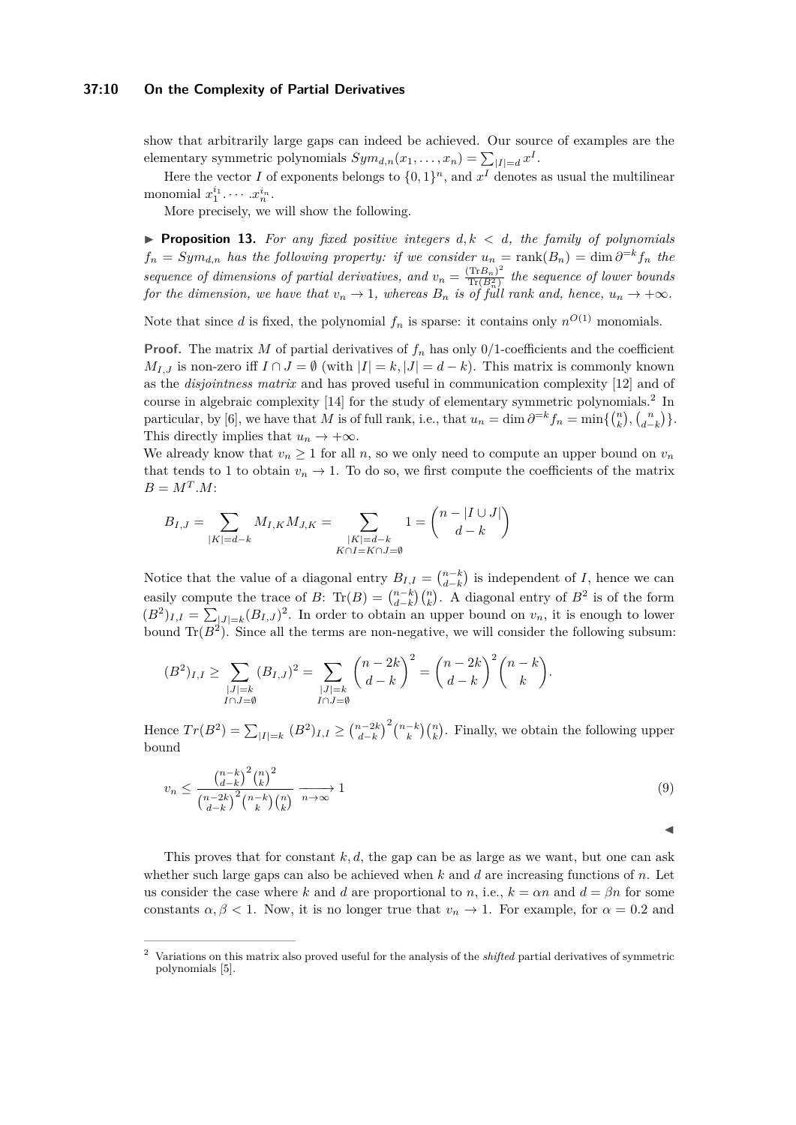#### **37:10 On the Complexity of Partial Derivatives**

show that arbitrarily large gaps can indeed be achieved. Our source of examples are the elementary symmetric polynomials  $Sym_{d,n}(x_1, \ldots, x_n) = \sum_{|I|=d} x^I$ .

Here the vector *I* of exponents belongs to  $\{0,1\}^n$ , and  $x^I$  denotes as usual the multilinear monomial  $x_1^{i_1} \cdots x_n^{i_n}$ .

More precisely, we will show the following.

**Proposition 13.** For any fixed positive integers  $d, k < d$ , the family of polynomials  $f_n = Sym_{d,n}$  *has the following property: if we consider*  $u_n = \text{rank}(B_n) = \dim \partial^{-k} f_n$  *the sequence of dimensions of partial derivatives, and*  $v_n = \frac{(\text{Tr} B_n)^2}{\text{Tr}(B_n^2)}$  $\frac{\text{tr}_{B_n}}{\text{Tr}(B_n^2)}$  the sequence of lower bounds *for the dimension, we have that*  $v_n \to 1$ *, whereas*  $B_n$  *is of full rank and, hence,*  $u_n \to +\infty$ *.* 

Note that since *d* is fixed, the polynomial  $f_n$  is sparse: it contains only  $n^{O(1)}$  monomials.

**Proof.** The matrix *M* of partial derivatives of  $f_n$  has only 0/1-coefficients and the coefficient *M*<sub>*I,J*</sub> is non-zero iff *I* ∩ *J* =  $\emptyset$  (with |*I*| = *k*, |*J*| = *d* − *k*). This matrix is commonly known as the *disjointness matrix* and has proved useful in communication complexity [\[12\]](#page-12-16) and of course in algebraic complexity [\[14\]](#page-12-2) for the study of elementary symmetric polynomials.[2](#page-9-0) In particular, by [\[6\]](#page-12-17), we have that *M* is of full rank, i.e., that  $u_n = \dim \partial^{-k} f_n = \min\left\{\binom{n}{k}, \binom{n}{d-k}\right\}$ . This directly implies that  $u_n \to +\infty$ .

We already know that  $v_n \geq 1$  for all *n*, so we only need to compute an upper bound on  $v_n$ that tends to 1 to obtain  $v_n \to 1$ . To do so, we first compute the coefficients of the matrix  $B = M^T.M$ 

$$
B_{I,J} = \sum_{|K|=d-k} M_{I,K} M_{J,K} = \sum_{\substack{|K|=d-k \ K \cap I = K \cap J = \emptyset}} 1 = \binom{n-|I \cup J|}{d-k}
$$

Notice that the value of a diagonal entry  $B_{I,I} = \binom{n-k}{d-k}$  is independent of *I*, hence we can reasily compute the trace of *B*: Tr(*B*) =  $\binom{n-k}{d-k}\binom{n}{k}$ . A diagonal entry of *B*<sup>2</sup> is of the form  $(B^2)_{I,I} = \sum_{|J|=k} (B_{I,J})^2$ . In order to obtain an upper bound on  $v_n$ , it is enough to lower bound  $\text{Tr}(B^2)$ . Since all the terms are non-negative, we will consider the following subsum:

$$
(B^{2})_{I,I} \geq \sum_{\substack{|J|=k \ I \cap J = \emptyset}} (B_{I,J})^{2} = \sum_{\substack{|J|=k \ I \cap J = \emptyset}} {n-2k \choose d-k}^{2} = {n-2k \choose d-k}^{2} {n-k \choose k}.
$$

Hence  $Tr(B^2) = \sum_{|I|=k} (B^2)_{I,I} \geq {n-2k \choose d-k}^2 {n-k \choose k}$ . Finally, we obtain the following upper bound

$$
v_n \le \frac{\binom{n-k}{d-k}^2 \binom{n}{k}^2}{\binom{n-2k}{d-k}^2 \binom{n-k}{k} \binom{n}{k}} \xrightarrow{n \to \infty} 1
$$
\n
$$
(9)
$$

 $\blacktriangleleft$ 

This proves that for constant *k, d*, the gap can be as large as we want, but one can ask whether such large gaps can also be achieved when *k* and *d* are increasing functions of *n*. Let us consider the case where *k* and *d* are proportional to *n*, i.e.,  $k = \alpha n$  and  $d = \beta n$  for some constants  $\alpha, \beta < 1$ . Now, it is no longer true that  $v_n \to 1$ . For example, for  $\alpha = 0.2$  and

<span id="page-9-0"></span><sup>2</sup> Variations on this matrix also proved useful for the analysis of the *shifted* partial derivatives of symmetric polynomials [\[5\]](#page-12-18).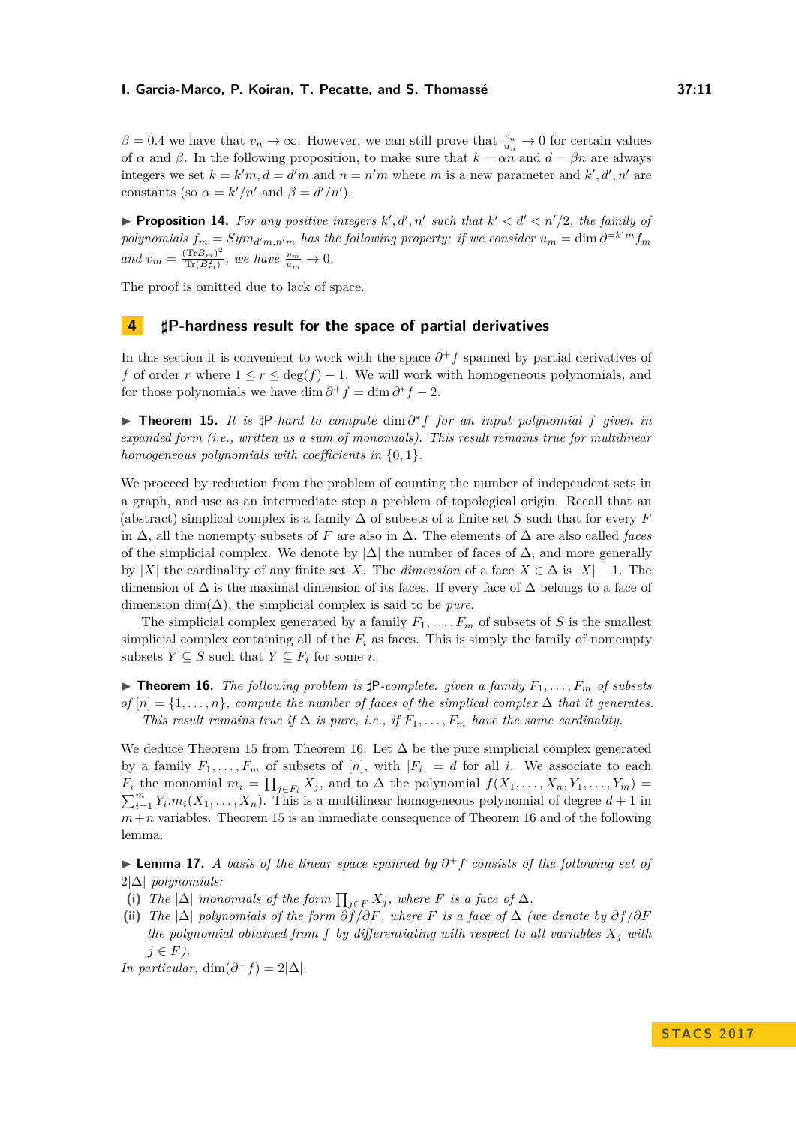$\beta = 0.4$  we have that  $v_n \to \infty$ . However, we can still prove that  $\frac{v_n}{u_n} \to 0$  for certain values of  $\alpha$  and  $\beta$ . In the following proposition, to make sure that  $k = \alpha n$  and  $d = \beta n$  are always integers we set  $k = k'm, d = d'm$  and  $n = n'm$  where *m* is a new parameter and  $k', d', n'$  are constants (so  $\alpha = k'/n'$  and  $\beta = d'/n'$ ).

**• Proposition 14.** For any positive integers  $k', d', n'$  such that  $k' < d' < n'/2$ , the family of *polynomials*  $f_m = Sym_{d'm,n'm}$  *has the following property: if we consider*  $u_m = \dim \partial^{=k'm} f_m$ *and*  $v_m = \frac{(\text{Tr}B_m)^2}{\text{Tr}(B^2)}$  $\frac{(\text{Tr}B_m)^2}{(\text{Tr}(B_m^2)})$ , we have  $\frac{v_m}{u_m} \to 0$ .

The proof is omitted due to lack of space.

## <span id="page-10-0"></span>**4** *]***P-hardness result for the space of partial derivatives**

In this section it is convenient to work with the space  $\partial^+ f$  spanned by partial derivatives of *f* of order *r* where  $1 \leq r \leq \deg(f) - 1$ . We will work with homogeneous polynomials, and for those polynomials we have dim  $\partial^+ f = \dim \partial^* f - 2$ .

<span id="page-10-1"></span>► **Theorem 15.** *It is*  $\sharp$ P*-hard to compute* dim  $\partial^* f$  *for an input polynomial f given in expanded form (i.e., written as a sum of monomials). This result remains true for multilinear homogeneous polynomials with coefficients in* {0*,* 1}*.*

We proceed by reduction from the problem of counting the number of independent sets in a graph, and use as an intermediate step a problem of topological origin. Recall that an (abstract) simplical complex is a family ∆ of subsets of a finite set *S* such that for every *F* in ∆, all the nonempty subsets of *F* are also in ∆. The elements of ∆ are also called *faces* of the simplicial complex. We denote by  $|\Delta|$  the number of faces of  $\Delta$ , and more generally by |*X*| the cardinality of any finite set *X*. The *dimension* of a face  $X \in \Delta$  is  $|X| - 1$ . The dimension of  $\Delta$  is the maximal dimension of its faces. If every face of  $\Delta$  belongs to a face of dimension dim( $\Delta$ ), the simplicial complex is said to be *pure*.

The simplicial complex generated by a family  $F_1, \ldots, F_m$  of subsets of *S* is the smallest simplicial complex containing all of the  $F_i$  as faces. This is simply the family of nomempty subsets  $Y \subseteq S$  such that  $Y \subseteq F_i$  for some *i*.

<span id="page-10-2"></span> $\triangleright$  **Theorem 16.** *The following problem is*  $\sharp$ P*-complete: given a family*  $F_1, \ldots, F_m$  *of subsets of*  $[n] = \{1, \ldots, n\}$ *, compute the number of faces of the simplical complex*  $\Delta$  *that it generates. This result remains true if*  $\Delta$  *is pure, i.e., if*  $F_1, \ldots, F_m$  *have the same cardinality.* 

We deduce Theorem [15](#page-10-1) from Theorem [16.](#page-10-2) Let  $\Delta$  be the pure simplicial complex generated by a family  $F_1, \ldots, F_m$  of subsets of  $[n]$ , with  $|F_i| = d$  for all *i*. We associate to each *F*<sup>*i*</sup> the monomial  $m_i = \prod_{j \in F_i} X_j$ , and to  $\Delta$  the polynomial  $f(X_1, \ldots, X_n, Y_1, \ldots, Y_m)$  $\sum_{i=1}^{m} Y_i \cdot m_i(X_1, \ldots, X_n)$ . This is a multilinear homogeneous polynomial of degree  $d+1$  in  $m+n$  variables. Theorem [15](#page-10-1) is an immediate consequence of Theorem [16](#page-10-2) and of the following lemma.

**► Lemma 17.** *A basis of the linear space spanned by*  $\partial^+ f$  *consists of the following set of* 2|∆| *polynomials:*

- (i) *The*  $|\Delta|$  *monomials of the form*  $\prod_{j \in F} X_j$ *, where F is a face of*  $\Delta$ *.*
- **(ii)** *The* |∆| *polynomials of the form ∂f /∂F, where F is a face of* ∆ *(we denote by ∂f /∂F the polynomial obtained from*  $f$  *by differentiating with respect to all variables*  $X_i$  *with*  $j \in F$ ).

*In particular,* dim $(\partial^+ f) = 2|\Delta|$ *.*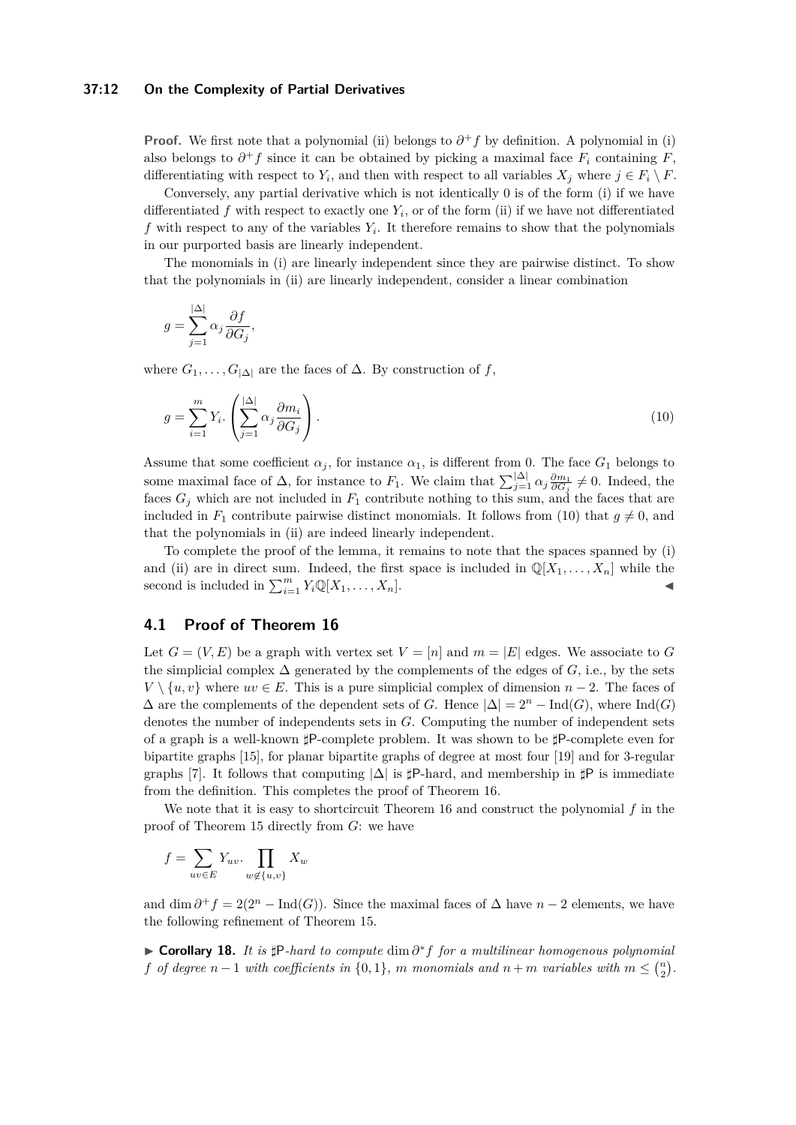#### **37:12 On the Complexity of Partial Derivatives**

**Proof.** We first note that a polynomial (ii) belongs to  $\partial^+ f$  by definition. A polynomial in (i) also belongs to  $\partial^+ f$  since it can be obtained by picking a maximal face  $F_i$  containing  $F$ , differentiating with respect to  $Y_i$ , and then with respect to all variables  $X_j$  where  $j \in F_i \setminus F$ .

Conversely, any partial derivative which is not identically 0 is of the form (i) if we have differentiated  $f$  with respect to exactly one  $Y_i$ , or of the form (ii) if we have not differentiated *f* with respect to any of the variables *Y<sup>i</sup>* . It therefore remains to show that the polynomials in our purported basis are linearly independent.

The monomials in (i) are linearly independent since they are pairwise distinct. To show that the polynomials in (ii) are linearly independent, consider a linear combination

$$
g = \sum_{j=1}^{|\Delta|} \alpha_j \frac{\partial f}{\partial G_j},
$$

where  $G_1, \ldots, G_{|\Delta|}$  are the faces of  $\Delta$ . By construction of *f*,

<span id="page-11-0"></span>
$$
g = \sum_{i=1}^{m} Y_i \cdot \left( \sum_{j=1}^{|\Delta|} \alpha_j \frac{\partial m_i}{\partial G_j} \right). \tag{10}
$$

Assume that some coefficient  $\alpha_j$ , for instance  $\alpha_1$ , is different from 0. The face  $G_1$  belongs to some maximal face of  $\Delta$ , for instance to  $F_1$ . We claim that  $\sum_{j=1}^{|\Delta|} \alpha_j \frac{\partial m_1}{\partial G_j} \neq 0$ . Indeed, the faces *G<sup>j</sup>* which are not included in *F*<sup>1</sup> contribute nothing to this sum, and the faces that are included in  $F_1$  contribute pairwise distinct monomials. It follows from [\(10\)](#page-11-0) that  $g \neq 0$ , and that the polynomials in (ii) are indeed linearly independent.

To complete the proof of the lemma, it remains to note that the spaces spanned by (i) and (ii) are in direct sum. Indeed, the first space is included in  $\mathbb{Q}[X_1, \ldots, X_n]$  while the second is included in  $\sum_{i=1}^{m} Y_i \mathbb{Q}[X_1, \ldots, X_n].$ 

# **4.1 Proof of Theorem [16](#page-10-2)**

Let  $G = (V, E)$  be a graph with vertex set  $V = [n]$  and  $m = |E|$  edges. We associate to G the simplicial complex  $\Delta$  generated by the complements of the edges of *G*, i.e., by the sets  $V \setminus \{u, v\}$  where  $uv \in E$ . This is a pure simplicial complex of dimension *n* − 2. The faces of  $\Delta$  are the complements of the dependent sets of *G*. Hence  $|\Delta| = 2^n - \text{Ind}(G)$ , where  $\text{Ind}(G)$ denotes the number of independents sets in *G*. Computing the number of independent sets of a graph is a well-known *]*P-complete problem. It was shown to be *]*P-complete even for bipartite graphs [\[15\]](#page-12-7), for planar bipartite graphs of degree at most four [\[19\]](#page-12-19) and for 3-regular graphs [\[7\]](#page-12-20). It follows that computing  $|\Delta|$  is  $\sharp$ P-hard, and membership in  $\sharp$ P is immediate from the definition. This completes the proof of Theorem [16.](#page-10-2)

We note that it is easy to shortcircuit Theorem [16](#page-10-2) and construct the polynomial *f* in the proof of Theorem [15](#page-10-1) directly from *G*: we have

$$
f = \sum_{uv \in E} Y_{uv} \cdot \prod_{w \notin \{u, v\}} X_w
$$

and dim  $\partial^+ f = 2(2^n - \text{Ind}(G))$ . Since the maximal faces of  $\Delta$  have  $n-2$  elements, we have the following refinement of Theorem [15.](#page-10-1)

► Corollary 18. It is  $\sharp$ P-hard to compute dim  $\partial^* f$  for a multilinear homogenous polynomial *f of degree*  $n-1$  *with coefficients in*  $\{0,1\}$ *, m monomials and*  $n+m$  *variables with*  $m \leq {n \choose 2}$ *.*